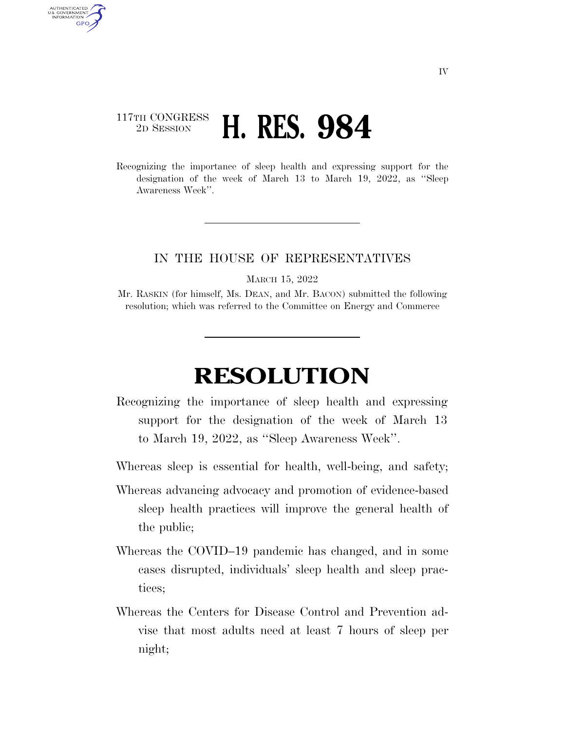## 117TH CONGRESS <sup>2D SESSION</sup> **H. RES. 984**

AUTHENTICATED U.S. GOVERNMENT GPO

> Recognizing the importance of sleep health and expressing support for the designation of the week of March 13 to March 19, 2022, as ''Sleep Awareness Week''.

## IN THE HOUSE OF REPRESENTATIVES

MARCH 15, 2022

Mr. RASKIN (for himself, Ms. DEAN, and Mr. BACON) submitted the following resolution; which was referred to the Committee on Energy and Commerce

## **RESOLUTION**

Recognizing the importance of sleep health and expressing support for the designation of the week of March 13 to March 19, 2022, as ''Sleep Awareness Week''.

Whereas sleep is essential for health, well-being, and safety;

- Whereas advancing advocacy and promotion of evidence-based sleep health practices will improve the general health of the public;
- Whereas the COVID–19 pandemic has changed, and in some cases disrupted, individuals' sleep health and sleep practices;
- Whereas the Centers for Disease Control and Prevention advise that most adults need at least 7 hours of sleep per night;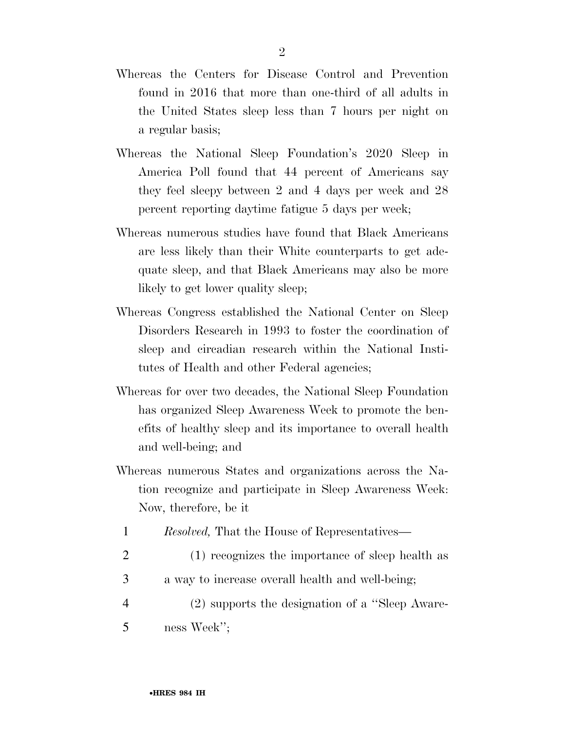- Whereas the Centers for Disease Control and Prevention found in 2016 that more than one-third of all adults in the United States sleep less than 7 hours per night on a regular basis;
- Whereas the National Sleep Foundation's 2020 Sleep in America Poll found that 44 percent of Americans say they feel sleepy between 2 and 4 days per week and 28 percent reporting daytime fatigue 5 days per week;
- Whereas numerous studies have found that Black Americans are less likely than their White counterparts to get adequate sleep, and that Black Americans may also be more likely to get lower quality sleep;
- Whereas Congress established the National Center on Sleep Disorders Research in 1993 to foster the coordination of sleep and circadian research within the National Institutes of Health and other Federal agencies;
- Whereas for over two decades, the National Sleep Foundation has organized Sleep Awareness Week to promote the benefits of healthy sleep and its importance to overall health and well-being; and
- Whereas numerous States and organizations across the Nation recognize and participate in Sleep Awareness Week: Now, therefore, be it
	- 1 *Resolved,* That the House of Representatives—
	- 2 (1) recognizes the importance of sleep health as
	- 3 a way to increase overall health and well-being;
- 4 (2) supports the designation of a ''Sleep Aware-5 ness Week'';